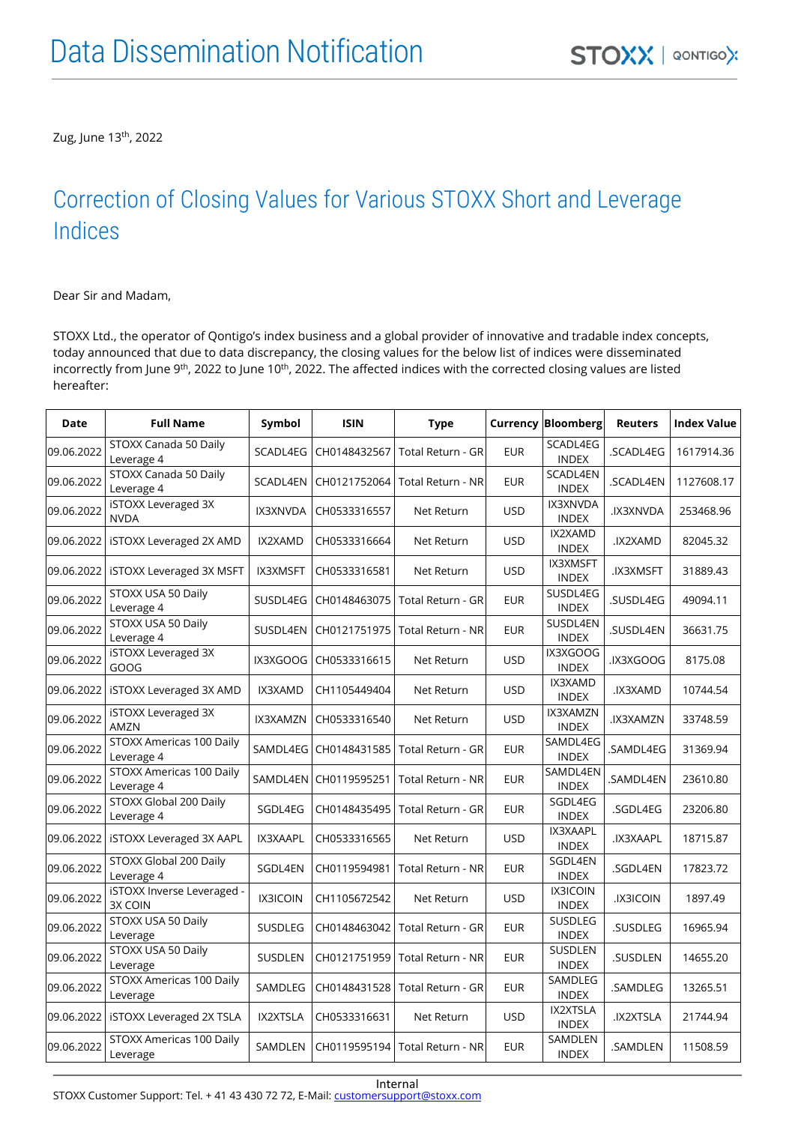Zug, June 13<sup>th</sup>, 2022

#### Correction of Closing Values for Various STOXX Short and Leverage Indices

Dear Sir and Madam,

STOXX Ltd., the operator of Qontigo's index business and a global provider of innovative and tradable index concepts, today announced that due to data discrepancy, the closing values for the below list of indices were disseminated incorrectly from June 9<sup>th</sup>, 2022 to June 10<sup>th</sup>, 2022. The affected indices with the corrected closing values are listed hereafter:

| <b>Date</b> | <b>Full Name</b>                       | Symbol          | <b>ISIN</b>  | <b>Type</b>              |            | <b>Currency Bloomberg</b>       | <b>Reuters</b>  | <b>Index Value</b> |
|-------------|----------------------------------------|-----------------|--------------|--------------------------|------------|---------------------------------|-----------------|--------------------|
| 09.06.2022  | STOXX Canada 50 Daily<br>Leverage 4    | SCADL4EG        | CH0148432567 | Total Return - GR        | <b>EUR</b> | SCADL4EG<br><b>INDEX</b>        | .SCADL4EG       | 1617914.36         |
| 09.06.2022  | STOXX Canada 50 Daily<br>Leverage 4    | SCADL4EN        | CH0121752064 | Total Return - NR        | <b>EUR</b> | SCADL4EN<br><b>INDEX</b>        | .SCADL4EN       | 1127608.17         |
| 09.06.2022  | iSTOXX Leveraged 3X<br><b>NVDA</b>     | IX3XNVDA        | CH0533316557 | Net Return               | <b>USD</b> | IX3XNVDA<br><b>INDEX</b>        | .IX3XNVDA       | 253468.96          |
| 09.06.2022  | <b>iSTOXX Leveraged 2X AMD</b>         | IX2XAMD         | CH0533316664 | Net Return               | <b>USD</b> | IX2XAMD<br><b>INDEX</b>         | IX2XAMD.        | 82045.32           |
| 09.06.2022  | <b>iSTOXX Leveraged 3X MSFT</b>        | <b>IX3XMSFT</b> | CH0533316581 | Net Return               | <b>USD</b> | <b>IX3XMSFT</b><br><b>INDEX</b> | <b>IX3XMSFT</b> | 31889.43           |
| 09.06.2022  | STOXX USA 50 Daily<br>Leverage 4       | SUSDL4EG        | CH0148463075 | Total Return - GR        | <b>EUR</b> | SUSDL4EG<br><b>INDEX</b>        | .SUSDL4EG       | 49094.11           |
| 09.06.2022  | STOXX USA 50 Daily<br>Leverage 4       | SUSDL4EN        | CH0121751975 | Total Return - NR        | <b>EUR</b> | SUSDL4EN<br><b>INDEX</b>        | .SUSDL4EN       | 36631.75           |
| 09.06.2022  | <b>iSTOXX Leveraged 3X</b><br>GOOG     | IX3XGOOG        | CH0533316615 | Net Return               | <b>USD</b> | IX3XGOOG<br><b>INDEX</b>        | DOODXEXI.       | 8175.08            |
| 09.06.2022  | <b>iSTOXX Leveraged 3X AMD</b>         | IX3XAMD         | CH1105449404 | Net Return               | <b>USD</b> | IX3XAMD<br><b>INDEX</b>         | IX3XAMD.        | 10744.54           |
| 09.06.2022  | <b>iSTOXX Leveraged 3X</b><br>AMZN     | IX3XAMZN        | CH0533316540 | Net Return               | <b>USD</b> | IX3XAMZN<br><b>INDEX</b>        | IX3XAMZN.       | 33748.59           |
| 09.06.2022  | STOXX Americas 100 Daily<br>Leverage 4 | SAMDL4EG        | CH0148431585 | Total Return - GR        | <b>EUR</b> | SAMDL4EG<br><b>INDEX</b>        | .SAMDL4EG       | 31369.94           |
| 09.06.2022  | STOXX Americas 100 Daily<br>Leverage 4 | SAMDL4EN        | CH0119595251 | <b>Total Return - NR</b> | <b>EUR</b> | SAMDL4EN<br><b>INDEX</b>        | .SAMDL4EN       | 23610.80           |
| 09.06.2022  | STOXX Global 200 Daily<br>Leverage 4   | SGDL4EG         | CH0148435495 | Total Return - GR        | <b>EUR</b> | SGDL4EG<br><b>INDEX</b>         | .SGDL4EG        | 23206.80           |
| 09.06.2022  | <b>iSTOXX Leveraged 3X AAPL</b>        | IX3XAAPL        | CH0533316565 | Net Return               | <b>USD</b> | IX3XAAPL<br><b>INDEX</b>        | .IX3XAAPL       | 18715.87           |
| 09.06.2022  | STOXX Global 200 Daily<br>Leverage 4   | SGDL4EN         | CH0119594981 | Total Return - NR        | <b>EUR</b> | SGDL4EN<br><b>INDEX</b>         | .SGDL4EN        | 17823.72           |
| 09.06.2022  | iSTOXX Inverse Leveraged -<br>3X COIN  | IX3ICOIN        | CH1105672542 | Net Return               | <b>USD</b> | <b>IX3ICOIN</b><br><b>INDEX</b> | <b>IX3ICOIN</b> | 1897.49            |
| 09.06.2022  | STOXX USA 50 Daily<br>Leverage         | <b>SUSDLEG</b>  | CH0148463042 | Total Return - GR        | <b>EUR</b> | <b>SUSDLEG</b><br><b>INDEX</b>  | .SUSDLEG        | 16965.94           |
| 09.06.2022  | STOXX USA 50 Daily<br>Leverage         | SUSDLEN         | CH0121751959 | Total Return - NR        | <b>EUR</b> | SUSDLEN<br><b>INDEX</b>         | .SUSDLEN        | 14655.20           |
| 09.06.2022  | STOXX Americas 100 Daily<br>Leverage   | SAMDLEG         | CH0148431528 | Total Return - GR        | <b>EUR</b> | SAMDLEG<br><b>INDEX</b>         | .SAMDLEG        | 13265.51           |
| 09.06.2022  | <b>iSTOXX Leveraged 2X TSLA</b>        | IX2XTSLA        | CH0533316631 | Net Return               | <b>USD</b> | IX2XTSLA<br><b>INDEX</b>        | .IX2XTSLA       | 21744.94           |
| 09.06.2022  | STOXX Americas 100 Daily<br>Leverage   | SAMDLEN         | CH0119595194 | Total Return - NR        | <b>EUR</b> | SAMDLEN<br><b>INDEX</b>         | .SAMDLEN        | 11508.59           |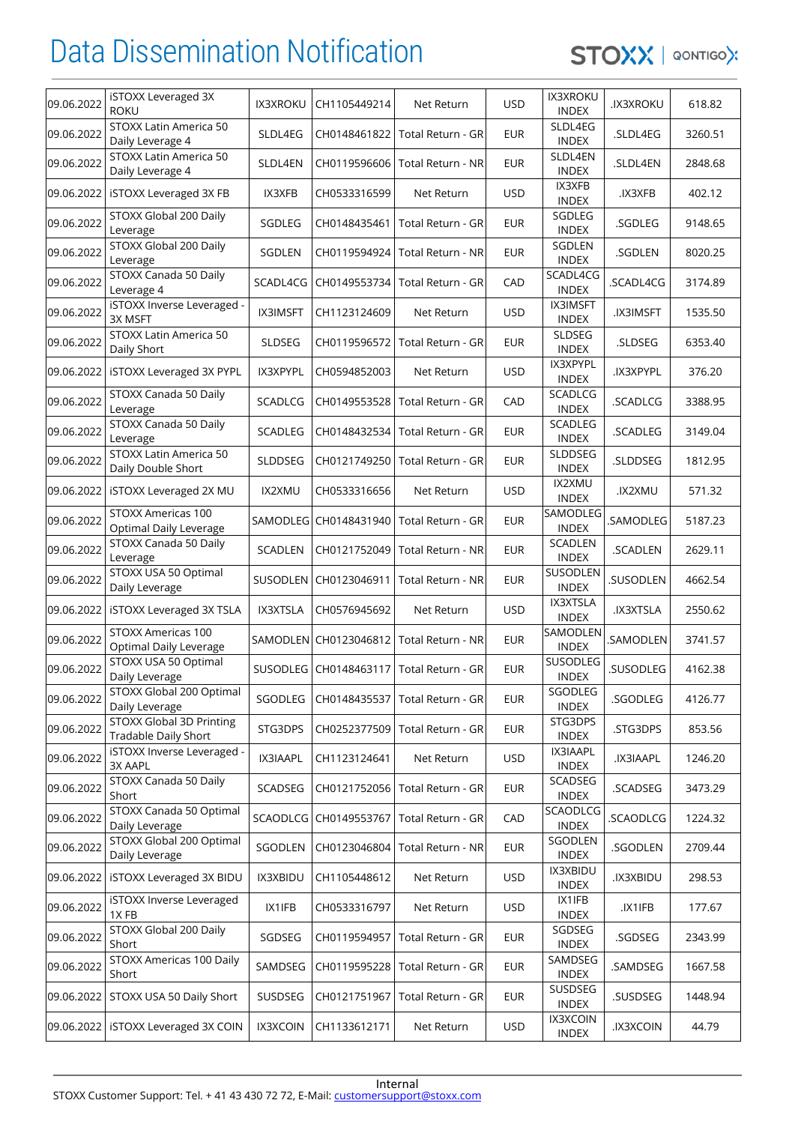STOXX | QONTIGOX

| 09.06.2022 | <b>iSTOXX Leveraged 3X</b><br><b>ROKU</b>               | <b>IX3XROKU</b> | CH1105449214          | Net Return                                  | <b>USD</b> | <b>IX3XROKU</b><br><b>INDEX</b> | <b>IX3XROKU</b> | 618.82  |
|------------|---------------------------------------------------------|-----------------|-----------------------|---------------------------------------------|------------|---------------------------------|-----------------|---------|
| 09.06.2022 | STOXX Latin America 50<br>Daily Leverage 4              | SLDL4EG         | CH0148461822          | Total Return - GR                           | <b>EUR</b> | SLDL4EG<br><b>INDEX</b>         | .SLDL4EG        | 3260.51 |
| 09.06.2022 | STOXX Latin America 50<br>Daily Leverage 4              | SLDL4EN         | CH0119596606          | Total Return - NR                           | <b>EUR</b> | SLDL4EN<br><b>INDEX</b>         | .SLDL4EN        | 2848.68 |
| 09.06.2022 | <b>iSTOXX Leveraged 3X FB</b>                           | IX3XFB          | CH0533316599          | Net Return                                  | <b>USD</b> | IX3XFB<br><b>INDEX</b>          | .IX3XFB         | 402.12  |
| 09.06.2022 | STOXX Global 200 Daily<br>Leverage                      | SGDLEG          | CH0148435461          | Total Return - GR                           | <b>EUR</b> | SGDLEG<br><b>INDEX</b>          | .SGDLEG         | 9148.65 |
| 09.06.2022 | STOXX Global 200 Daily<br>Leverage                      | SGDLEN          | CH0119594924          | <b>Total Return - NR</b>                    | <b>EUR</b> | SGDLEN<br><b>INDEX</b>          | .SGDLEN         | 8020.25 |
| 09.06.2022 | STOXX Canada 50 Daily<br>Leverage 4                     | SCADL4CG        | CH0149553734          | Total Return - GR                           | CAD        | SCADL4CG<br><b>INDEX</b>        | .SCADL4CG       | 3174.89 |
| 09.06.2022 | iSTOXX Inverse Leveraged -<br>3X MSFT                   | <b>IX3IMSFT</b> | CH1123124609          | Net Return                                  | <b>USD</b> | <b>IX3IMSFT</b><br><b>INDEX</b> | <b>IX3IMSFT</b> | 1535.50 |
| 09.06.2022 | STOXX Latin America 50<br>Daily Short                   | <b>SLDSEG</b>   | CH0119596572          | Total Return - GR                           | <b>EUR</b> | SLDSEG<br><b>INDEX</b>          | .SLDSEG         | 6353.40 |
| 09.06.2022 | <b>iSTOXX Leveraged 3X PYPL</b>                         | IX3XPYPL        | CH0594852003          | Net Return                                  | <b>USD</b> | IX3XPYPL<br><b>INDEX</b>        | .IX3XPYPL       | 376.20  |
| 09.06.2022 | STOXX Canada 50 Daily<br>Leverage                       | SCADLCG         | CH0149553528          | Total Return - GR                           | CAD        | SCADLCG<br><b>INDEX</b>         | .SCADLCG        | 3388.95 |
| 09.06.2022 | STOXX Canada 50 Daily<br>Leverage                       | SCADLEG         | CH0148432534          | Total Return - GR                           | <b>EUR</b> | SCADLEG<br><b>INDEX</b>         | .SCADLEG        | 3149.04 |
| 09.06.2022 | STOXX Latin America 50<br>Daily Double Short            | SLDDSEG         | CH0121749250          | Total Return - GR                           | <b>EUR</b> | SLDDSEG<br><b>INDEX</b>         | .SLDDSEG        | 1812.95 |
| 09.06.2022 | <b>iSTOXX Leveraged 2X MU</b>                           | IX2XMU          | CH0533316656          | Net Return                                  | <b>USD</b> | <b>IX2XMU</b><br><b>INDEX</b>   | <b>JX2XMU</b>   | 571.32  |
| 09.06.2022 | STOXX Americas 100<br>Optimal Daily Leverage            |                 | SAMODLEG CH0148431940 | Total Return - GR                           | <b>EUR</b> | SAMODLEG<br><b>INDEX</b>        | .SAMODLEG       | 5187.23 |
| 09.06.2022 | STOXX Canada 50 Daily<br>Leverage                       | <b>SCADLEN</b>  | CH0121752049          | Total Return - NR                           | <b>EUR</b> | SCADLEN<br><b>INDEX</b>         | .SCADLEN        | 2629.11 |
| 09.06.2022 | STOXX USA 50 Optimal<br>Daily Leverage                  | SUSODLEN        | CH0123046911          | Total Return - NR                           | <b>EUR</b> | <b>SUSODLEN</b><br><b>INDEX</b> | .SUSODLEN       | 4662.54 |
| 09.06.2022 | <b>iSTOXX Leveraged 3X TSLA</b>                         | <b>IX3XTSLA</b> | CH0576945692          | Net Return                                  | <b>USD</b> | <b>IX3XTSLA</b><br><b>INDEX</b> | .IX3XTSLA       | 2550.62 |
| 09.06.2022 | STOXX Americas 100<br>Optimal Daily Leverage            |                 | SAMODLEN CH0123046812 | Total Return - NR                           | <b>EUR</b> | SAMODLEN<br><b>INDEX</b>        | .SAMODLEN       | 3741.57 |
| 09.06.2022 | STOXX USA 50 Optimal<br>Daily Leverage                  |                 |                       | SUSODLEG   CH0148463117   Total Return - GR | <b>EUR</b> | SUSODLEG<br><b>INDEX</b>        | .SUSODLEG       | 4162.38 |
| 09.06.2022 | STOXX Global 200 Optimal<br>Daily Leverage              | SGODLEG         |                       | CH0148435537   Total Return - GR            | <b>EUR</b> | SGODLEG<br><b>INDEX</b>         | .SGODLEG        | 4126.77 |
| 09.06.2022 | <b>STOXX Global 3D Printing</b><br>Tradable Daily Short | STG3DPS         | CH0252377509          | Total Return - GR                           | <b>EUR</b> | STG3DPS<br><b>INDEX</b>         | .STG3DPS        | 853.56  |
| 09.06.2022 | iSTOXX Inverse Leveraged -<br>3X AAPL                   | IX3IAAPL        | CH1123124641          | Net Return                                  | <b>USD</b> | IX3IAAPL<br><b>INDEX</b>        | <b>IX3IAAPL</b> | 1246.20 |
| 09.06.2022 | STOXX Canada 50 Daily<br>Short                          | SCADSEG         | CH0121752056          | Total Return - GR                           | <b>EUR</b> | SCADSEG<br><b>INDEX</b>         | .SCADSEG        | 3473.29 |
| 09.06.2022 | STOXX Canada 50 Optimal<br>Daily Leverage               | SCAODLCG        | CH0149553767          | Total Return - GR                           | CAD        | SCAODLCG<br><b>INDEX</b>        | .SCAODLCG       | 1224.32 |
| 09.06.2022 | STOXX Global 200 Optimal<br>Daily Leverage              | SGODLEN         | CH0123046804          | Total Return - NR                           | <b>EUR</b> | SGODLEN<br><b>INDEX</b>         | .SGODLEN        | 2709.44 |
| 09.06.2022 | <b>iSTOXX Leveraged 3X BIDU</b>                         | IX3XBIDU        | CH1105448612          | Net Return                                  | <b>USD</b> | IX3XBIDU<br><b>INDEX</b>        | <b>JX3XBIDU</b> | 298.53  |
| 09.06.2022 | iSTOXX Inverse Leveraged<br>1XFB                        | IX1IFB          | CH0533316797          | Net Return                                  | <b>USD</b> | IX1IFB<br><b>INDEX</b>          | .IX1IFB         | 177.67  |
| 09.06.2022 | STOXX Global 200 Daily<br>Short                         | SGDSEG          | CH0119594957          | Total Return - GR                           | <b>EUR</b> | SGDSEG<br><b>INDEX</b>          | .SGDSEG         | 2343.99 |
| 09.06.2022 | STOXX Americas 100 Daily<br>Short                       | SAMDSEG         | CH0119595228          | Total Return - GR                           | <b>EUR</b> | SAMDSEG<br><b>INDEX</b>         | .SAMDSEG        | 1667.58 |
| 09.06.2022 | STOXX USA 50 Daily Short                                | SUSDSEG         | CH0121751967          | Total Return - GR                           | <b>EUR</b> | SUSDSEG<br><b>INDEX</b>         | .SUSDSEG        | 1448.94 |
|            | 09.06.2022   ISTOXX Leveraged 3X COIN                   | IX3XCOIN        | CH1133612171          | Net Return                                  | <b>USD</b> | <b>IX3XCOIN</b><br><b>INDEX</b> | IX3XCOIN.       | 44.79   |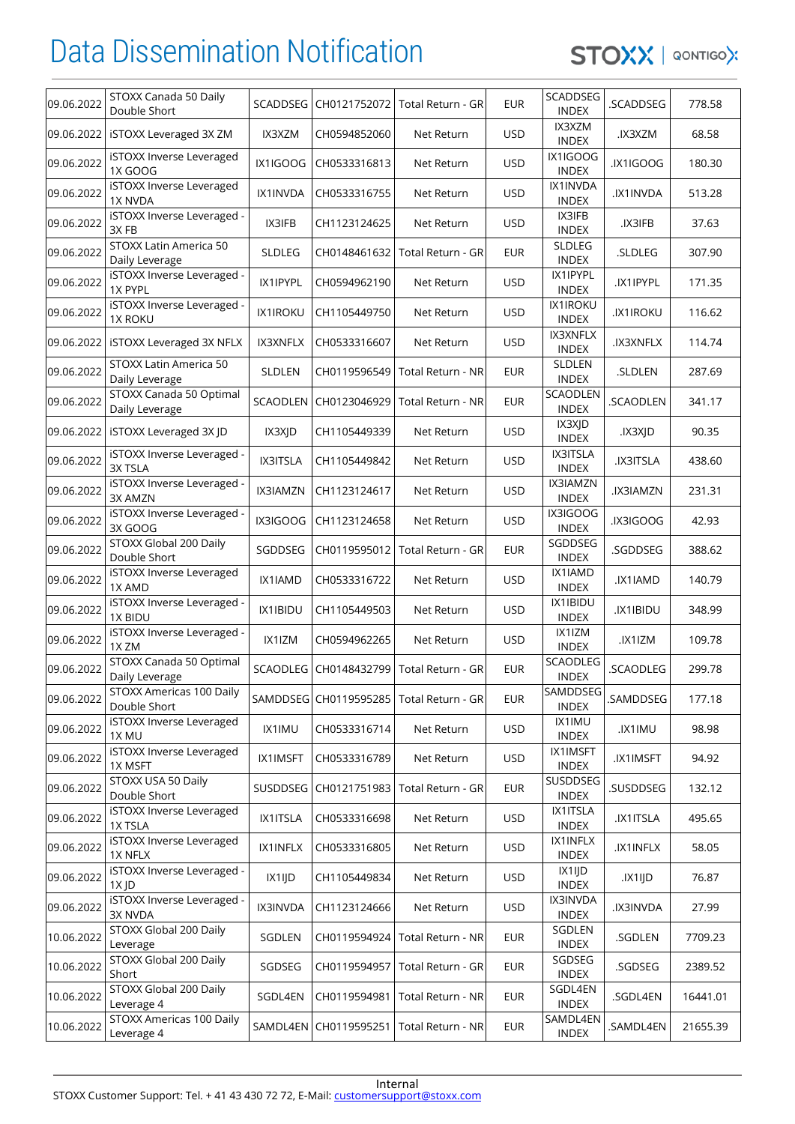

| 09.06.2022 | STOXX Canada 50 Daily<br>Double Short        | SCADDSEG        | CH0121752072 | Total Return - GR                           | <b>EUR</b> | SCADDSEG<br><b>INDEX</b>        | .SCADDSEG       | 778.58   |
|------------|----------------------------------------------|-----------------|--------------|---------------------------------------------|------------|---------------------------------|-----------------|----------|
| 09.06.2022 | <b>iSTOXX Leveraged 3X ZM</b>                | IX3XZM          | CH0594852060 | Net Return                                  | <b>USD</b> | IX3XZM<br><b>INDEX</b>          | .IX3XZM         | 68.58    |
| 09.06.2022 | iSTOXX Inverse Leveraged<br><b>1X GOOG</b>   | IX1IGOOG        | CH0533316813 | Net Return                                  | <b>USD</b> | IX1IGOOG<br><b>INDEX</b>        | <b>JX1IGOOG</b> | 180.30   |
| 09.06.2022 | iSTOXX Inverse Leveraged<br>1X NVDA          | IX1INVDA        | CH0533316755 | Net Return                                  | <b>USD</b> | IX1INVDA<br><b>INDEX</b>        | .IX1INVDA       | 513.28   |
| 09.06.2022 | iSTOXX Inverse Leveraged -<br>3XFB           | IX3IFB          | CH1123124625 | Net Return                                  | <b>USD</b> | IX3IFB<br><b>INDEX</b>          | .IX3IFB         | 37.63    |
| 09.06.2022 | STOXX Latin America 50<br>Daily Leverage     | <b>SLDLEG</b>   | CH0148461632 | Total Return - GR                           | <b>EUR</b> | <b>SLDLEG</b><br><b>INDEX</b>   | .SLDLEG         | 307.90   |
| 09.06.2022 | iSTOXX Inverse Leveraged -<br>1X PYPL        | IX1IPYPL        | CH0594962190 | Net Return                                  | <b>USD</b> | IX1IPYPL<br><b>INDEX</b>        | .IX1IPYPL       | 171.35   |
| 09.06.2022 | iSTOXX Inverse Leveraged -<br><b>1X ROKU</b> | <b>IX1IROKU</b> | CH1105449750 | Net Return                                  | <b>USD</b> | <b>IX1IROKU</b><br><b>INDEX</b> | <b>IX1IROKU</b> | 116.62   |
| 09.06.2022 | <b>iSTOXX Leveraged 3X NFLX</b>              | IX3XNFLX        | CH0533316607 | Net Return                                  | <b>USD</b> | IX3XNFLX<br><b>INDEX</b>        | .IX3XNFLX       | 114.74   |
| 09.06.2022 | STOXX Latin America 50<br>Daily Leverage     | SLDLEN          | CH0119596549 | Total Return - NR                           | <b>EUR</b> | SLDLEN<br><b>INDEX</b>          | .SLDLEN         | 287.69   |
| 09.06.2022 | STOXX Canada 50 Optimal<br>Daily Leverage    | <b>SCAODLEN</b> | CH0123046929 | Total Return - NR                           | <b>EUR</b> | SCAODLEN<br><b>INDEX</b>        | .SCAODLEN       | 341.17   |
| 09.06.2022 | iSTOXX Leveraged 3X JD                       | IX3XJD          | CH1105449339 | Net Return                                  | <b>USD</b> | IX3XJD<br><b>INDEX</b>          | JX3XJD.         | 90.35    |
| 09.06.2022 | iSTOXX Inverse Leveraged -<br>3X TSLA        | <b>IX3ITSLA</b> | CH1105449842 | Net Return                                  | <b>USD</b> | IX3ITSLA<br><b>INDEX</b>        | <b>IX3ITSLA</b> | 438.60   |
| 09.06.2022 | iSTOXX Inverse Leveraged -<br>3X AMZN        | IX3IAMZN        | CH1123124617 | Net Return                                  | <b>USD</b> | IX3IAMZN<br><b>INDEX</b>        | IX3IAMZN.       | 231.31   |
| 09.06.2022 | iSTOXX Inverse Leveraged -<br>3X GOOG        | IX3IGOOG        | CH1123124658 | Net Return                                  | <b>USD</b> | IX3IGOOG<br><b>INDEX</b>        | JX3IGOOG        | 42.93    |
| 09.06.2022 | STOXX Global 200 Daily<br>Double Short       | SGDDSEG         | CH0119595012 | Total Return - GR                           | <b>EUR</b> | SGDDSEG<br><b>INDEX</b>         | .SGDDSEG        | 388.62   |
| 09.06.2022 | iSTOXX Inverse Leveraged<br>1X AMD           | IX1IAMD         | CH0533316722 | Net Return                                  | <b>USD</b> | IX1IAMD<br><b>INDEX</b>         | .IX1IAMD        | 140.79   |
| 09.06.2022 | iSTOXX Inverse Leveraged -<br>1X BIDU        | IX1IBIDU        | CH1105449503 | Net Return                                  | <b>USD</b> | IX1IBIDU<br><b>INDEX</b>        | <b>JX1IBIDU</b> | 348.99   |
| 09.06.2022 | iSTOXX Inverse Leveraged -<br>1X ZM          | IX1IZM          | CH0594962265 | Net Return                                  | <b>USD</b> | IX1IZM<br><b>INDEX</b>          | .IX1IZM         | 109.78   |
| 09.06.2022 | STOXX Canada 50 Optimal<br>Daily Leverage    |                 |              | SCAODLEG   CH0148432799   Total Return - GR | <b>EUR</b> | SCAODLEG<br><b>INDEX</b>        | .SCAODLEG       | 299.78   |
| 09.06.2022 | STOXX Americas 100 Daily<br>Double Short     | <b>SAMDDSEG</b> | CH0119595285 | Total Return - GR                           | EUR        | SAMDDSEG<br><b>INDEX</b>        | .SAMDDSEG       | 177.18   |
| 09.06.2022 | iSTOXX Inverse Leveraged<br>1X <sub>MU</sub> | IX1IMU          | CH0533316714 | Net Return                                  | <b>USD</b> | IX1IMU<br><b>INDEX</b>          | <b>JX1IMU</b>   | 98.98    |
| 09.06.2022 | iSTOXX Inverse Leveraged<br>1X MSFT          | IX1IMSFT        | CH0533316789 | Net Return                                  | <b>USD</b> | IX1IMSFT<br><b>INDEX</b>        | .IX1IMSFT       | 94.92    |
| 09.06.2022 | STOXX USA 50 Daily<br>Double Short           | SUSDDSEG        | CH0121751983 | Total Return - GR                           | <b>EUR</b> | SUSDDSEG<br><b>INDEX</b>        | .SUSDDSEG       | 132.12   |
| 09.06.2022 | iSTOXX Inverse Leveraged<br>1X TSLA          | IX1ITSLA        | CH0533316698 | Net Return                                  | USD        | IX1ITSLA<br><b>INDEX</b>        | .IX1ITSLA       | 495.65   |
| 09.06.2022 | iSTOXX Inverse Leveraged<br>1X NFLX          | IX1INFLX        | CH0533316805 | Net Return                                  | <b>USD</b> | IX1INFLX<br><b>INDEX</b>        | .IX1INFLX       | 58.05    |
| 09.06.2022 | iSTOXX Inverse Leveraged -<br>1X JD          | IX1IJD          | CH1105449834 | Net Return                                  | <b>USD</b> | IX1IJD<br><b>INDEX</b>          | IXTID           | 76.87    |
| 09.06.2022 | iSTOXX Inverse Leveraged -<br>3X NVDA        | IX3INVDA        | CH1123124666 | Net Return                                  | <b>USD</b> | IX3INVDA<br><b>INDEX</b>        | <b>IX3INVDA</b> | 27.99    |
| 10.06.2022 | STOXX Global 200 Daily<br>Leverage           | SGDLEN          | CH0119594924 | Total Return - NR                           | <b>EUR</b> | SGDLEN<br><b>INDEX</b>          | .SGDLEN         | 7709.23  |
| 10.06.2022 | STOXX Global 200 Daily<br>Short              | SGDSEG          | CH0119594957 | Total Return - GR                           | <b>EUR</b> | SGDSEG<br><b>INDEX</b>          | .SGDSEG         | 2389.52  |
| 10.06.2022 | STOXX Global 200 Daily<br>Leverage 4         | SGDL4EN         | CH0119594981 | Total Return - NR                           | <b>EUR</b> | SGDL4EN<br><b>INDEX</b>         | .SGDL4EN        | 16441.01 |
| 10.06.2022 | STOXX Americas 100 Daily<br>Leverage 4       | SAMDL4EN        | CH0119595251 | Total Return - NR                           | <b>EUR</b> | SAMDL4EN<br><b>INDEX</b>        | .SAMDL4EN       | 21655.39 |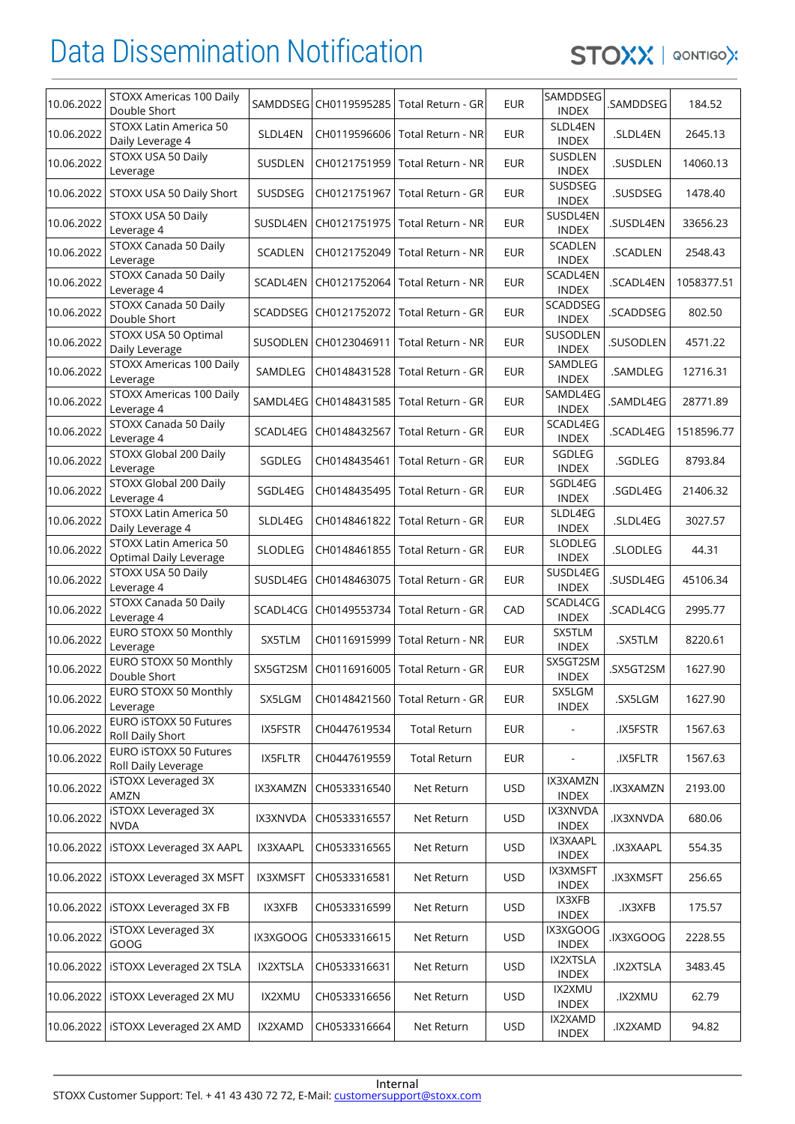

| 10.06.2022 | STOXX Americas 100 Daily<br>Double Short         |                 | SAMDDSEG CH0119595285 | Total Return - GR                           | <b>EUR</b> | SAMDDSEG<br><b>INDEX</b>       | .SAMDDSEG       | 184.52     |
|------------|--------------------------------------------------|-----------------|-----------------------|---------------------------------------------|------------|--------------------------------|-----------------|------------|
| 10.06.2022 | STOXX Latin America 50<br>Daily Leverage 4       | SLDL4EN         | CH0119596606          | Total Return - NR                           | <b>EUR</b> | SLDL4EN<br><b>INDEX</b>        | .SLDL4EN        | 2645.13    |
| 10.06.2022 | STOXX USA 50 Daily<br>Leverage                   | SUSDLEN         | CH0121751959          | <b>Total Return - NR</b>                    | <b>EUR</b> | SUSDLEN<br><b>INDEX</b>        | .SUSDLEN        | 14060.13   |
| 10.06.2022 | STOXX USA 50 Daily Short                         | SUSDSEG         | CH0121751967          | Total Return - GR                           | <b>EUR</b> | SUSDSEG<br><b>INDEX</b>        | .SUSDSEG        | 1478.40    |
| 10.06.2022 | STOXX USA 50 Daily<br>Leverage 4                 | SUSDL4EN        | CH0121751975          | Total Return - NR                           | <b>EUR</b> | SUSDL4EN<br><b>INDEX</b>       | .SUSDL4EN       | 33656.23   |
| 10.06.2022 | STOXX Canada 50 Daily<br>Leverage                | SCADLEN         | CH0121752049          | Total Return - NR                           | <b>EUR</b> | <b>SCADLEN</b><br><b>INDEX</b> | .SCADLEN        | 2548.43    |
| 10.06.2022 | STOXX Canada 50 Daily<br>Leverage 4              | SCADL4EN        | CH0121752064          | Total Return - NR                           | <b>EUR</b> | SCADL4EN<br><b>INDEX</b>       | .SCADL4EN       | 1058377.51 |
| 10.06.2022 | STOXX Canada 50 Daily<br>Double Short            | SCADDSEG        | CH0121752072          | Total Return - GR                           | <b>EUR</b> | SCADDSEG<br><b>INDEX</b>       | .SCADDSEG       | 802.50     |
| 10.06.2022 | STOXX USA 50 Optimal<br>Daily Leverage           | SUSODLEN        | CH0123046911          | Total Return - NR                           | <b>EUR</b> | SUSODLEN<br><b>INDEX</b>       | .SUSODLEN       | 4571.22    |
| 10.06.2022 | STOXX Americas 100 Daily<br>Leverage             | SAMDLEG         | CH0148431528          | Total Return - GR                           | <b>EUR</b> | SAMDLEG<br><b>INDEX</b>        | .SAMDLEG        | 12716.31   |
| 10.06.2022 | STOXX Americas 100 Daily<br>Leverage 4           | SAMDL4EG        | CH0148431585          | Total Return - GR                           | <b>EUR</b> | SAMDL4EG<br><b>INDEX</b>       | .SAMDL4EG       | 28771.89   |
| 10.06.2022 | STOXX Canada 50 Daily<br>Leverage 4              | SCADL4EG        | CH0148432567          | Total Return - GR                           | <b>EUR</b> | SCADL4EG<br><b>INDEX</b>       | .SCADL4EG       | 1518596.77 |
| 10.06.2022 | STOXX Global 200 Daily<br>Leverage               | SGDLEG          | CH0148435461          | Total Return - GR                           | <b>EUR</b> | SGDLEG<br><b>INDEX</b>         | .SGDLEG         | 8793.84    |
| 10.06.2022 | STOXX Global 200 Daily<br>Leverage 4             | SGDL4EG         | CH0148435495          | Total Return - GR                           | <b>EUR</b> | SGDL4EG<br><b>INDEX</b>        | .SGDL4EG        | 21406.32   |
| 10.06.2022 | STOXX Latin America 50<br>Daily Leverage 4       | SLDL4EG         | CH0148461822          | Total Return - GR                           | <b>EUR</b> | SLDL4EG<br><b>INDEX</b>        | .SLDL4EG        | 3027.57    |
| 10.06.2022 | STOXX Latin America 50<br>Optimal Daily Leverage | SLODLEG         | CH0148461855          | Total Return - GR                           | <b>EUR</b> | <b>SLODLEG</b><br><b>INDEX</b> | .SLODLEG        | 44.31      |
| 10.06.2022 | STOXX USA 50 Daily<br>Leverage 4                 | SUSDL4EG        | CH0148463075          | Total Return - GR                           | <b>EUR</b> | SUSDL4EG<br><b>INDEX</b>       | .SUSDL4EG       | 45106.34   |
| 10.06.2022 | STOXX Canada 50 Daily<br>Leverage 4              | SCADL4CG        | CH0149553734          | Total Return - GR                           | CAD        | SCADL4CG<br><b>INDEX</b>       | .SCADL4CG       | 2995.77    |
| 10.06.2022 | EURO STOXX 50 Monthly<br>Leverage                | SX5TLM          | CH0116915999          | Total Return - NR                           | <b>EUR</b> | SX5TLM<br><b>INDEX</b>         | .SX5TLM         | 8220.61    |
| 10.06.2022 | EURO STOXX 50 Monthly<br>Double Short            |                 |                       | SX5GT2SM   CH0116916005   Total Return - GR | <b>EUR</b> | SX5GT2SM<br><b>INDEX</b>       | .SX5GT2SM       | 1627.90    |
| 10.06.2022 | EURO STOXX 50 Monthly<br>Leverage                | SX5LGM          | CH0148421560          | Total Return - GR                           | <b>EUR</b> | SX5LGM<br><b>INDEX</b>         | .SX5LGM         | 1627.90    |
| 10.06.2022 | EURO ISTOXX 50 Futures<br>Roll Daily Short       | IX5FSTR         | CH0447619534          | <b>Total Return</b>                         | <b>EUR</b> | $\blacksquare$                 | .IX5FSTR        | 1567.63    |
| 10.06.2022 | EURO ISTOXX 50 Futures<br>Roll Daily Leverage    | IX5FLTR         | CH0447619559          | <b>Total Return</b>                         | <b>EUR</b> |                                | .IX5FLTR        | 1567.63    |
| 10.06.2022 | iSTOXX Leveraged 3X<br>AMZN                      | IX3XAMZN        | CH0533316540          | Net Return                                  | <b>USD</b> | IX3XAMZN<br><b>INDEX</b>       | IX3XAMZN.       | 2193.00    |
| 10.06.2022 | <b>iSTOXX Leveraged 3X</b><br><b>NVDA</b>        | IX3XNVDA        | CH0533316557          | Net Return                                  | <b>USD</b> | IX3XNVDA<br><b>INDEX</b>       | IX3XNVDA.       | 680.06     |
| 10.06.2022 | <b>iSTOXX Leveraged 3X AAPL</b>                  | IX3XAAPL        | CH0533316565          | Net Return                                  | <b>USD</b> | IX3XAAPL<br><b>INDEX</b>       | .IX3XAAPL       | 554.35     |
| 10.06.2022 | <b>iSTOXX Leveraged 3X MSFT</b>                  | <b>IX3XMSFT</b> | CH0533316581          | Net Return                                  | <b>USD</b> | IX3XMSFT<br>INDEX              | <b>IX3XMSFT</b> | 256.65     |
| 10.06.2022 | <b>iSTOXX Leveraged 3X FB</b>                    | IX3XFB          | CH0533316599          | Net Return                                  | <b>USD</b> | IX3XFB<br><b>INDEX</b>         | .IX3XFB         | 175.57     |
| 10.06.2022 | iSTOXX Leveraged 3X<br>GOOG                      | IX3XGOOG        | CH0533316615          | Net Return                                  | <b>USD</b> | IX3XGOOG<br><b>INDEX</b>       | .IX3XGOOG       | 2228.55    |
| 10.06.2022 | <b>iSTOXX Leveraged 2X TSLA</b>                  | IX2XTSLA        | CH0533316631          | Net Return                                  | <b>USD</b> | IX2XTSLA<br><b>INDEX</b>       | .IX2XTSLA       | 3483.45    |
| 10.06.2022 | <b>iSTOXX Leveraged 2X MU</b>                    | IX2XMU          | CH0533316656          | Net Return                                  | <b>USD</b> | IX2XMU<br><b>INDEX</b>         | <b>JX2XMU</b>   | 62.79      |
| 10.06.2022 | <b>iSTOXX Leveraged 2X AMD</b>                   | IX2XAMD         | CH0533316664          | Net Return                                  | <b>USD</b> | IX2XAMD<br><b>INDEX</b>        | .IX2XAMD        | 94.82      |